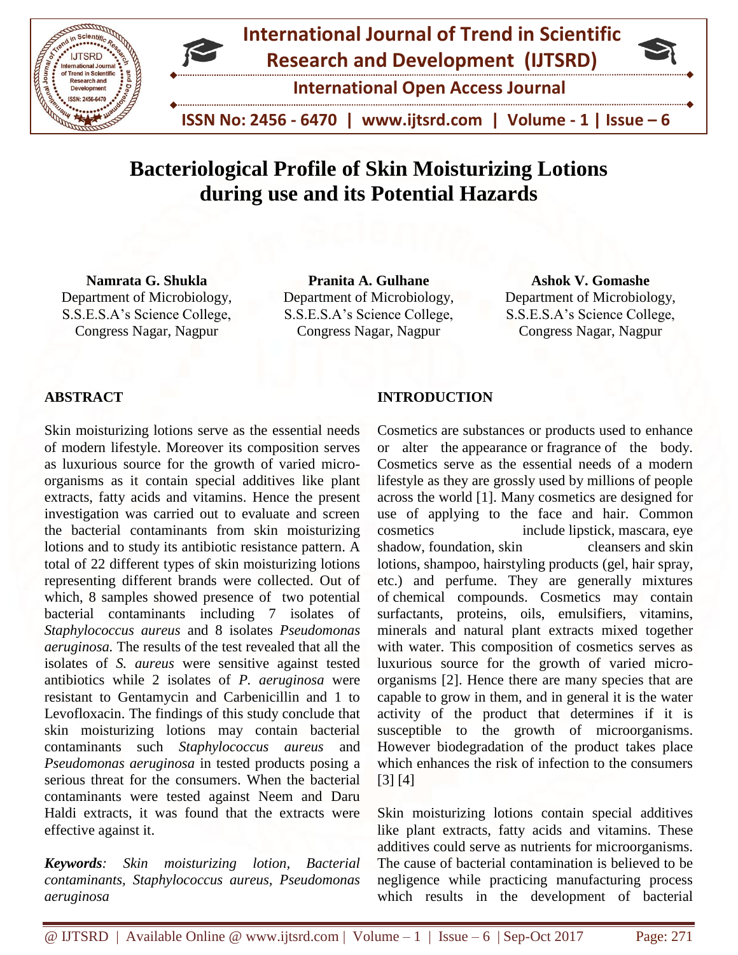

# **Bacteriological Profile of Skin Moisturizing Lotions during use and its Potential Hazards**

**Namrata G. Shukla** Department of Microbiology, S.S.E.S.A's Science College, Congress Nagar, Nagpur

**Pranita A. Gulhane** Department of Microbiology, S.S.E.S.A's Science College, Congress Nagar, Nagpur

**Ashok V. Gomashe** Department of Microbiology, S.S.E.S.A's Science College, Congress Nagar, Nagpur

## **ABSTRACT**

Skin moisturizing lotions serve as the essential needs of modern lifestyle. Moreover its composition serves as luxurious source for the growth of varied microorganisms as it contain special additives like plant extracts, fatty acids and vitamins. Hence the present investigation was carried out to evaluate and screen the bacterial contaminants from skin moisturizing lotions and to study its antibiotic resistance pattern. A total of 22 different types of skin moisturizing lotions representing different brands were collected. Out of which, 8 samples showed presence of two potential bacterial contaminants including 7 isolates of *Staphylococcus aureus* and 8 isolates *Pseudomonas aeruginosa.* The results of the test revealed that all the isolates of *S. aureus* were sensitive against tested antibiotics while 2 isolates of *P. aeruginosa* were resistant to Gentamycin and Carbenicillin and 1 to Levofloxacin. The findings of this study conclude that skin moisturizing lotions may contain bacterial contaminants such *Staphylococcus aureus* and *Pseudomonas aeruginosa* in tested products posing a serious threat for the consumers. When the bacterial contaminants were tested against Neem and Daru Haldi extracts, it was found that the extracts were effective against it.

*Keywords: Skin moisturizing lotion, Bacterial contaminants, Staphylococcus aureus, Pseudomonas aeruginosa* 

## **INTRODUCTION**

Cosmetics are substances or products used to enhance or alter the appearance or fragrance of the body. Cosmetics serve as the essential needs of a modern lifestyle as they are grossly used by millions of people across the world [1]. Many cosmetics are designed for use of applying to the face and hair. Common cosmetics include lipstick, mascara, eye shadow, foundation, skin cleansers and skin lotions, shampoo, hairstyling products (gel, hair spray, etc.) and perfume. They are generally mixtures of chemical compounds. Cosmetics may contain surfactants, proteins, oils, emulsifiers, vitamins, minerals and natural plant extracts mixed together with water. This composition of cosmetics serves as luxurious source for the growth of varied microorganisms [2]. Hence there are many species that are capable to grow in them, and in general it is the water activity of the product that determines if it is susceptible to the growth of microorganisms. However biodegradation of the product takes place which enhances the risk of infection to the consumers [3] [4]

Skin moisturizing lotions contain special additives like plant extracts, fatty acids and vitamins. These additives could serve as nutrients for microorganisms. The cause of bacterial contamination is believed to be negligence while practicing manufacturing process which results in the development of bacterial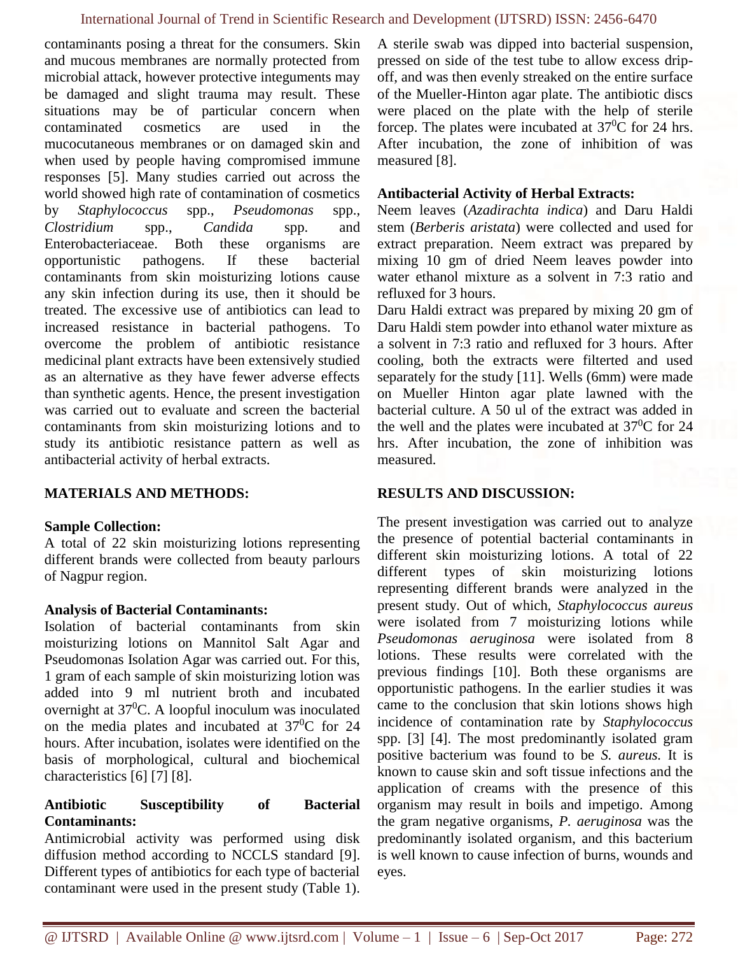contaminants posing a threat for the consumers. Skin and mucous membranes are normally protected from microbial attack, however protective integuments may be damaged and slight trauma may result. These situations may be of particular concern when contaminated cosmetics are used in the mucocutaneous membranes or on damaged skin and when used by people having compromised immune responses [5]. Many studies carried out across the world showed high rate of contamination of cosmetics by *Staphylococcus* spp., *Pseudomonas* spp., *Clostridium* spp., *Candida* spp. and Enterobacteriaceae. Both these organisms are opportunistic pathogens. If these bacterial contaminants from skin moisturizing lotions cause any skin infection during its use, then it should be treated. The excessive use of antibiotics can lead to increased resistance in bacterial pathogens. To overcome the problem of antibiotic resistance medicinal plant extracts have been extensively studied as an alternative as they have fewer adverse effects than synthetic agents. Hence, the present investigation was carried out to evaluate and screen the bacterial contaminants from skin moisturizing lotions and to study its antibiotic resistance pattern as well as antibacterial activity of herbal extracts.

### **MATERIALS AND METHODS:**

### **Sample Collection:**

A total of 22 skin moisturizing lotions representing different brands were collected from beauty parlours of Nagpur region.

### **Analysis of Bacterial Contaminants:**

Isolation of bacterial contaminants from skin moisturizing lotions on Mannitol Salt Agar and Pseudomonas Isolation Agar was carried out. For this, 1 gram of each sample of skin moisturizing lotion was added into 9 ml nutrient broth and incubated overnight at  $37^0$ C. A loopful inoculum was inoculated on the media plates and incubated at  $37^{\circ}$ C for 24 hours. After incubation, isolates were identified on the basis of morphological, cultural and biochemical characteristics [6] [7] [8].

### **Antibiotic Susceptibility of Bacterial Contaminants:**

Antimicrobial activity was performed using disk diffusion method according to NCCLS standard [9]. Different types of antibiotics for each type of bacterial contaminant were used in the present study (Table 1).

A sterile swab was dipped into bacterial suspension, pressed on side of the test tube to allow excess dripoff, and was then evenly streaked on the entire surface of the Mueller-Hinton agar plate. The antibiotic discs were placed on the plate with the help of sterile forcep. The plates were incubated at  $37^{\circ}$ C for 24 hrs. After incubation, the zone of inhibition of was measured [8].

#### **Antibacterial Activity of Herbal Extracts:**

Neem leaves (*Azadirachta indica*) and Daru Haldi stem (*Berberis aristata*) were collected and used for extract preparation. Neem extract was prepared by mixing 10 gm of dried Neem leaves powder into water ethanol mixture as a solvent in 7:3 ratio and refluxed for 3 hours.

Daru Haldi extract was prepared by mixing 20 gm of Daru Haldi stem powder into ethanol water mixture as a solvent in 7:3 ratio and refluxed for 3 hours. After cooling, both the extracts were filterted and used separately for the study [11]. Wells (6mm) were made on Mueller Hinton agar plate lawned with the bacterial culture. A 50 ul of the extract was added in the well and the plates were incubated at  $37^{\circ}$ C for 24 hrs. After incubation, the zone of inhibition was measured.

### **RESULTS AND DISCUSSION:**

The present investigation was carried out to analyze the presence of potential bacterial contaminants in different skin moisturizing lotions. A total of 22 different types of skin moisturizing lotions representing different brands were analyzed in the present study. Out of which, *Staphylococcus aureus* were isolated from 7 moisturizing lotions while *Pseudomonas aeruginosa* were isolated from 8 lotions. These results were correlated with the previous findings [10]. Both these organisms are opportunistic pathogens. In the earlier studies it was came to the conclusion that skin lotions shows high incidence of contamination rate by *Staphylococcus*  spp. [3] [4]. The most predominantly isolated gram positive bacterium was found to be *S. aureus.* It is known to cause skin and soft tissue infections and the application of creams with the presence of this organism may result in boils and impetigo. Among the gram negative organisms, *P. aeruginosa* was the predominantly isolated organism, and this bacterium is well known to cause infection of burns, wounds and eyes.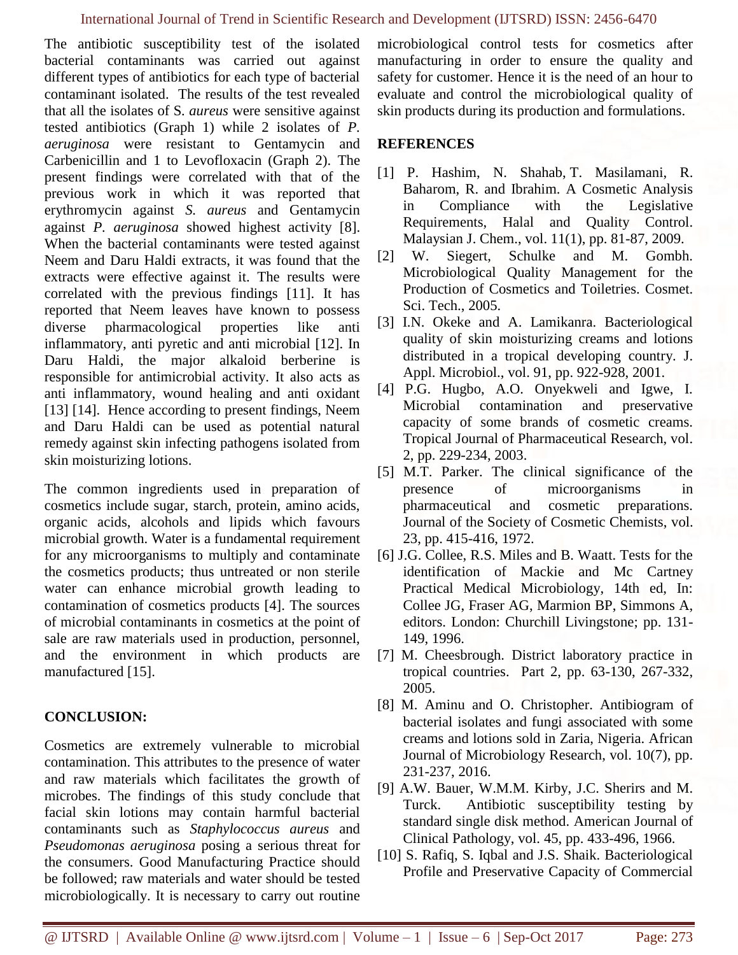The antibiotic susceptibility test of the isolated bacterial contaminants was carried out against different types of antibiotics for each type of bacterial contaminant isolated. The results of the test revealed that all the isolates of S*. aureus* were sensitive against tested antibiotics (Graph 1) while 2 isolates of *P. aeruginosa* were resistant to Gentamycin and Carbenicillin and 1 to Levofloxacin (Graph 2). The present findings were correlated with that of the previous work in which it was reported that erythromycin against *S. aureus* and Gentamycin against *P. aeruginosa* showed highest activity [8]. When the bacterial contaminants were tested against Neem and Daru Haldi extracts, it was found that the extracts were effective against it. The results were correlated with the previous findings [11]. It has reported that Neem leaves have known to possess diverse pharmacological properties like anti inflammatory, anti pyretic and anti microbial [12]. In Daru Haldi, the major alkaloid berberine is responsible for antimicrobial activity. It also acts as anti inflammatory, wound healing and anti oxidant [13] [14]. Hence according to present findings, Neem and Daru Haldi can be used as potential natural remedy against skin infecting pathogens isolated from skin moisturizing lotions.

The common ingredients used in preparation of cosmetics include sugar, starch, protein, amino acids, organic acids, alcohols and lipids which favours microbial growth. Water is a fundamental requirement for any microorganisms to multiply and contaminate the cosmetics products; thus untreated or non sterile water can enhance microbial growth leading to contamination of cosmetics products [4]. The sources of microbial contaminants in cosmetics at the point of sale are raw materials used in production, personnel, and the environment in which products are manufactured [15].

## **CONCLUSION:**

Cosmetics are extremely vulnerable to microbial contamination. This attributes to the presence of water and raw materials which facilitates the growth of microbes. The findings of this study conclude that facial skin lotions may contain harmful bacterial contaminants such as *Staphylococcus aureus* and *Pseudomonas aeruginosa* posing a serious threat for the consumers. Good Manufacturing Practice should be followed; raw materials and water should be tested microbiologically. It is necessary to carry out routine microbiological control tests for cosmetics after manufacturing in order to ensure the quality and safety for customer. Hence it is the need of an hour to evaluate and control the microbiological quality of skin products during its production and formulations.

## **REFERENCES**

- [1] P. Hashim, N. Shahab, T. Masilamani, R. Baharom, R. and Ibrahim. A Cosmetic Analysis in Compliance with the Legislative Requirements, Halal and Quality Control. Malaysian J. Chem., vol. 11(1), pp. 81-87, 2009.
- [2] W. Siegert, Schulke and M. Gombh. Microbiological Quality Management for the Production of Cosmetics and Toiletries. Cosmet. Sci. Tech., 2005.
- [3] I.N. Okeke and A. Lamikanra. Bacteriological quality of skin moisturizing creams and lotions distributed in a tropical developing country. J. Appl. Microbiol., vol. 91, pp. 922-928, 2001.
- [4] P.G. Hugbo, A.O. Onyekweli and Igwe, I. Microbial contamination and preservative capacity of some brands of cosmetic creams. Tropical Journal of Pharmaceutical Research, vol. 2, pp. 229-234, 2003.
- [5] M.T. Parker. The clinical significance of the presence of microorganisms in pharmaceutical and cosmetic preparations*.*  Journal of the Society of Cosmetic Chemists, vol. 23, pp. 415-416, 1972.
- [6] J.G. Collee, R.S. Miles and B. Waatt. Tests for the identification of Mackie and Mc Cartney Practical Medical Microbiology, 14th ed, In: Collee JG, Fraser AG, Marmion BP, Simmons A, editors. London: Churchill Livingstone; pp. 131- 149, 1996.
- [7] M. Cheesbrough. District laboratory practice in tropical countries. Part 2, pp. 63-130, 267-332, 2005.
- [8] M. Aminu and O. Christopher. Antibiogram of bacterial isolates and fungi associated with some creams and lotions sold in Zaria, Nigeria. African Journal of Microbiology Research, vol. 10(7), pp. 231-237, 2016.
- [9] A.W. Bauer, W.M.M. Kirby, J.C. Sherirs and M. Turck. Antibiotic susceptibility testing by standard single disk method. American Journal of Clinical Pathology, vol. 45, pp. 433-496, 1966.
- [10] S. Rafiq, S. Iqbal and J.S. Shaik. Bacteriological Profile and Preservative Capacity of Commercial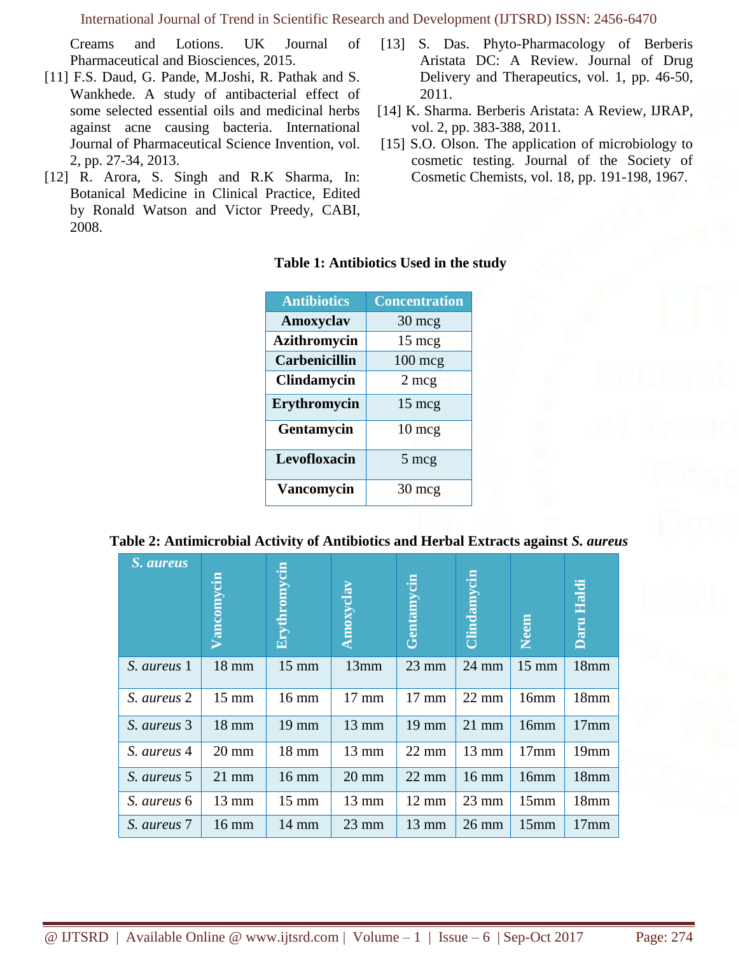Creams and Lotions. UK Journal of Pharmaceutical and Biosciences, 2015.

- [11] F.S. Daud, G. Pande, M.Joshi, R. Pathak and S. Wankhede. A study of antibacterial effect of some selected essential oils and medicinal herbs against acne causing bacteria. International Journal of Pharmaceutical Science Invention, vol. 2, pp. 27-34, 2013.
- [12] R. Arora, S. Singh and R.K Sharma, In: Botanical Medicine in Clinical Practice, Edited by Ronald Watson and Victor Preedy, CABI, 2008.
- [13] S. Das. Phyto-Pharmacology of Berberis Aristata DC: A Review. Journal of Drug Delivery and Therapeutics, vol. 1, pp. 46-50, 2011.
- [14] K. Sharma. Berberis Aristata: A Review, IJRAP, vol. 2, pp. 383-388, 2011.
- [15] S.O. Olson. The application of microbiology to cosmetic testing. Journal of the Society of Cosmetic Chemists, vol. 18, pp. 191-198, 1967.

### **Table 1: Antibiotics Used in the study**

| <b>Antibiotics</b>   | <b>Concentration</b> |
|----------------------|----------------------|
| Amoxyclav            | $30 \text{ mcg}$     |
| <b>Azithromycin</b>  | $15 \text{ mcg}$     |
| <b>Carbenicillin</b> | $100$ mcg            |
| <b>Clindamycin</b>   | $2 \text{ mcg}$      |
| Erythromycin         | $15 \text{ mcg}$     |
| Gentamycin           | $10 \text{ mcg}$     |
| Levofloxacin         | 5 mcg                |
| <b>Vancomycin</b>    | $30 \text{ mcg}$     |

| Table 2: Antimicrobial Activity of Antibiotics and Herbal Extracts against S. aureus |  |  |  |
|--------------------------------------------------------------------------------------|--|--|--|
|                                                                                      |  |  |  |

| <i>S. aureus</i> | Vancomycin      | Erythromycin    | Amoxyclay       | Gentamycin      | <b>Clindamycin</b> | Neem             | Daru Haldi       |
|------------------|-----------------|-----------------|-----------------|-----------------|--------------------|------------------|------------------|
| S. aureus 1      | $18$ mm         | $15 \text{ mm}$ | 13mm            | $23 \text{ mm}$ | $24$ mm            | $15 \text{ mm}$  | 18mm             |
| S. aureus 2      | $15 \text{ mm}$ | $16 \text{ mm}$ | $17 \text{ mm}$ | $17 \text{ mm}$ | $22 \text{ mm}$    | 16mm             | 18mm             |
| S. aureus 3      | $18 \text{ mm}$ | $19 \text{ mm}$ | $13 \text{ mm}$ | $19 \text{ mm}$ | $21$ mm            | 16mm             | 17 <sub>mm</sub> |
| S. aureus 4      | $20 \text{ mm}$ | $18 \text{ mm}$ | $13 \text{ mm}$ | $22 \text{ mm}$ | $13 \text{ mm}$    | 17 <sub>mm</sub> | 19mm             |
| S. aureus 5      | $21 \text{ mm}$ | $16 \text{ mm}$ | $20 \text{ mm}$ | $22 \text{ mm}$ | $16 \text{ mm}$    | 16mm             | 18mm             |
| S. aureus 6      | $13 \text{ mm}$ | $15 \text{ mm}$ | $13 \text{ mm}$ | $12 \text{ mm}$ | $23 \text{ mm}$    | 15mm             | 18mm             |
| S. aureus 7      | $16 \text{ mm}$ | $14 \text{ mm}$ | $23 \text{ mm}$ | $13 \text{ mm}$ | $26 \text{ mm}$    | 15mm             | 17 <sub>mm</sub> |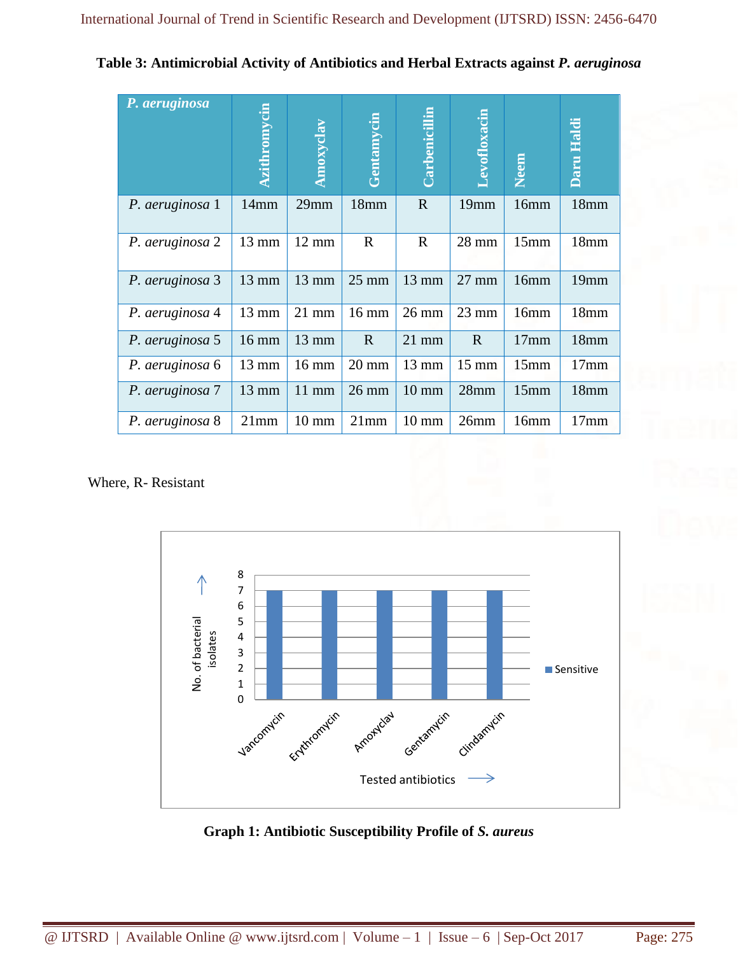| Table 3: Antimicrobial Activity of Antibiotics and Herbal Extracts against P. aeruginosa |  |  |  |  |
|------------------------------------------------------------------------------------------|--|--|--|--|
|------------------------------------------------------------------------------------------|--|--|--|--|

| P. aeruginosa   | <b>Azithromycin</b> | Amoxyclav       | Gentamycin       | Carbenicillin   | <b><i><u>evofloxacin</u></i></b> | Neem | Daru Haldi       |
|-----------------|---------------------|-----------------|------------------|-----------------|----------------------------------|------|------------------|
| P. aeruginosa 1 | 14mm                | 29mm            | 18 <sub>mm</sub> | R               | 19mm                             | 16mm | 18mm             |
| P. aeruginosa 2 | 13 mm               | $12 \text{ mm}$ | $\mathbf R$      | $\mathbf{R}$    | 28 mm                            | 15mm | 18mm             |
| P. aeruginosa 3 | $13 \text{ mm}$     | 13 mm           | $25 \text{ mm}$  | 13 mm           | $27 \text{ mm}$                  | 16mm | 19mm             |
| P. aeruginosa 4 | 13 mm               | $21$ mm         | $16 \text{ mm}$  | $26 \text{ mm}$ | $23 \text{ mm}$                  | 16mm | 18 <sub>mm</sub> |
| P. aeruginosa 5 | 16 mm               | $13 \text{ mm}$ | $\mathbf R$      | $21$ mm         | $\mathbf R$                      | 17mm | 18mm             |
| P. aeruginosa 6 | 13 mm               | $16 \text{ mm}$ | $20 \text{ mm}$  | 13 mm           | $15 \text{ mm}$                  | 15mm | 17 <sub>mm</sub> |
| P. aeruginosa 7 | 13 mm               | $11$ mm         | $26 \text{ mm}$  | $10 \text{ mm}$ | 28mm                             | 15mm | 18mm             |
| P. aeruginosa 8 | 21mm                | $10 \text{ mm}$ | 21mm             | $10 \text{ mm}$ | 26mm                             | 16mm | 17 <sub>mm</sub> |

Where, R- Resistant